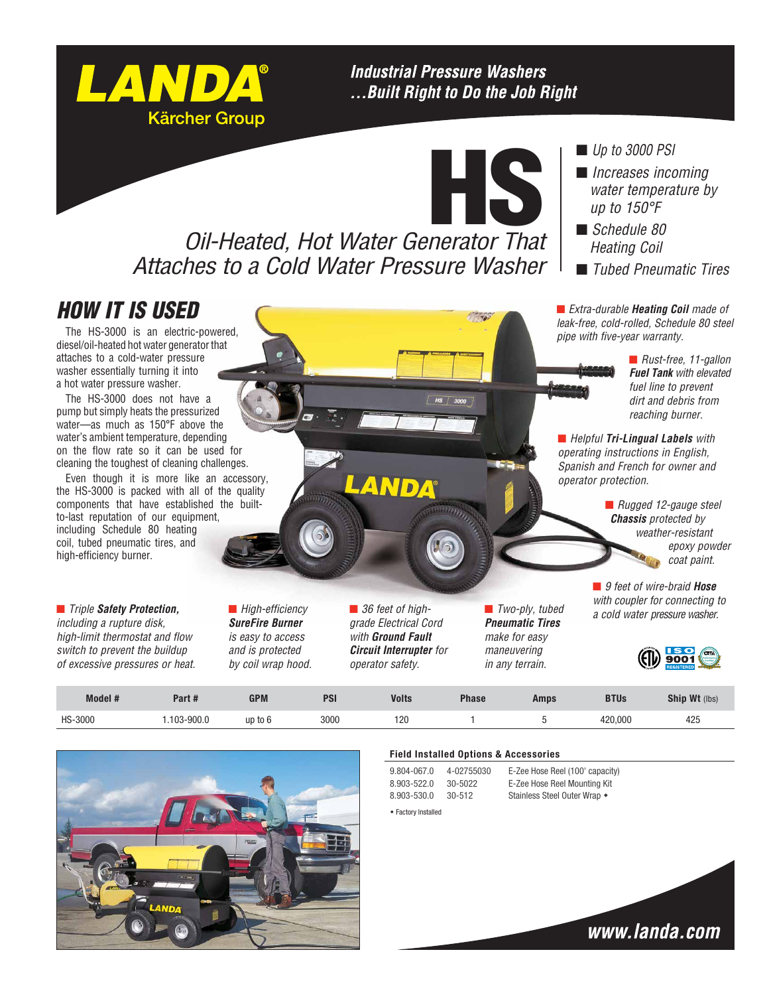# **Industrial Pressure Washers** ... Built Right to Do the Job Right

HS

 $\frac{1}{2}$ 

# *Oil-Heated, Hot Water Generator That Attaches to a Cold Water Pressure Washer*

## ■ *Up to 3000 PSI*

- *Increases incoming water temperature by up to 150°F*
- *Schedule 80 Heating Coil*
- n *Tubed Pneumatic Tires*

*HOW IT IS USED*

The HS-3000 is an electric-powered, diesel/oil-heated hot water generator that attaches to a cold-water pressure washer essentially turning it into a hot water pressure washer.

LANDA®

**Kärcher Group** 

The HS-3000 does not have a pump but simply heats the pressurized water—as much as 150°F above the water's ambient temperature, depending on the flow rate so it can be used for cleaning the toughest of cleaning challenges.

Even though it is more like an accessory, the HS-3000 is packed with all of the quality components that have established the builtto-last reputation of our equipment, including Schedule 80 heating coil, tubed pneumatic tires, and high-efficiency burner.

■ *Triple Safety Protection, including a rupture disk, high-limit thermostat and flow switch to prevent the buildup of excessive pressures or heat.* ■ *High-efficiency SureFire Burner is easy to access and is protected by coil wrap hood.* 

*grade Electrical Cord with Ground Fault Circuit Interrupter for operator safety.*

AND

■ *Two-ply, tubed Pneumatic Tires make for easy maneuvering in any terrain.*

■ *Extra-durable Heating Coil made of leak-free, cold-rolled, Schedule 80 steel pipe with five-year warranty.*

> ■ *Rust-free, 11-gallon Fuel Tank with elevated fuel line to prevent dirt and debris from reaching burner.*

■ *Helpful* **Tri-Lingual Labels** with *operating instructions in English, Spanish and French for owner and operator protection.*

> n *Rugged 12-gauge steel Chassis protected by weather-resistant epoxy powder coat paint.*

■ 9 feet of wire-braid **Hose** *with coupler for connecting to*  ■ 36 feet of high-<br> **a** *cold water pressure washer.*<br> *a cold water pressure washer.* 



**Model # Part # GPM PSI Volts Phase Amps BTUs Ship Wt** (lbs) HS-3000 1.103-900.0 up to 6 3000 120 1 5 420,000 425



#### **Field Installed Options & Accessories**

9.804-067.0 4-02755030 E-Zee Hose Reel (100' capacity)  $\triangleleft$  Factory Installed

8.903-522.0 30-5022 E-Zee Hose Reel Mounting Kit 8.903-530.0 30-512 Stainless Steel Outer Wrap +